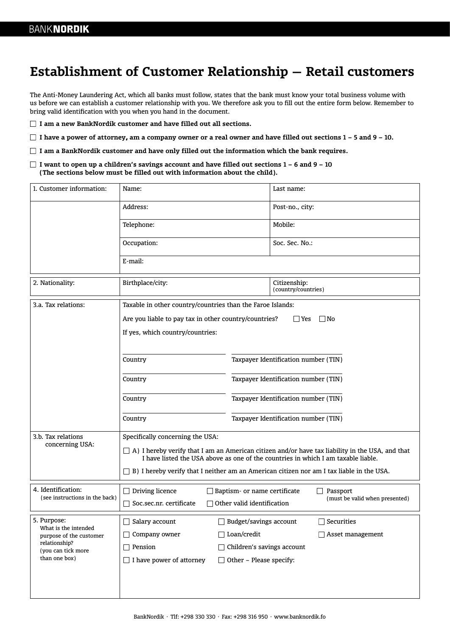# **Establishment of Customer Relationship — Retail customers**

The Anti-Money Laundering Act, which all banks must follow, states that the bank must know your total business volume with us before we can establish a customer relationship with you. We therefore ask you to fill out the entire form below. Remember to bring valid identification with you when you hand in the document.

**I am a new BankNordik customer and have filled out all sections.**

**I have a power of attorney, am a company owner or a real owner and have filled out sections 1 – 5 and 9 – 10.** 

**I am a BankNordik customer and have only filled out the information which the bank requires.**

**I want to open up a children's savings account and have filled out sections 1 – 6 and 9 – 10 (The sections below must be filled out with information about the child).**

| 1. Customer information:                                                                                               | Name:                                                                                                                                                                                       |                                      | Last name:                          |  |
|------------------------------------------------------------------------------------------------------------------------|---------------------------------------------------------------------------------------------------------------------------------------------------------------------------------------------|--------------------------------------|-------------------------------------|--|
|                                                                                                                        | Address:                                                                                                                                                                                    |                                      | Post-no., city:                     |  |
|                                                                                                                        | Telephone:                                                                                                                                                                                  |                                      | Mobile:                             |  |
|                                                                                                                        | Occupation:                                                                                                                                                                                 |                                      | Soc. Sec. No.:                      |  |
|                                                                                                                        | E-mail:                                                                                                                                                                                     |                                      |                                     |  |
| 2. Nationality:                                                                                                        | Birthplace/city:                                                                                                                                                                            |                                      | Citizenship:<br>(country/countries) |  |
| 3.a. Tax relations:                                                                                                    | Taxable in other country/countries than the Faroe Islands:                                                                                                                                  |                                      |                                     |  |
|                                                                                                                        | Are you liable to pay tax in other country/countries?<br>$ $ Yes<br>   No                                                                                                                   |                                      |                                     |  |
|                                                                                                                        | If yes, which country/countries:                                                                                                                                                            |                                      |                                     |  |
|                                                                                                                        |                                                                                                                                                                                             |                                      |                                     |  |
|                                                                                                                        | Country                                                                                                                                                                                     | Taxpayer Identification number (TIN) |                                     |  |
|                                                                                                                        | Country                                                                                                                                                                                     | Taxpayer Identification number (TIN) |                                     |  |
|                                                                                                                        | Country                                                                                                                                                                                     | Taxpayer Identification number (TIN) |                                     |  |
|                                                                                                                        | Country                                                                                                                                                                                     | Taxpayer Identification number (TIN) |                                     |  |
| 3.b. Tax relations<br>concerning USA:                                                                                  | Specifically concerning the USA:                                                                                                                                                            |                                      |                                     |  |
|                                                                                                                        | $\Box$ A) I hereby verify that I am an American citizen and/or have tax liability in the USA, and that<br>I have listed the USA above as one of the countries in which I am taxable liable. |                                      |                                     |  |
|                                                                                                                        | B) I hereby verify that I neither am an American citizen nor am I tax liable in the USA.                                                                                                    |                                      |                                     |  |
| 4. Identification:<br>(see instructions in the back)                                                                   | Driving licence                                                                                                                                                                             | Baptism- or name certificate         | Passport                            |  |
|                                                                                                                        | Soc.sec.nr. certificate                                                                                                                                                                     | $\Box$ Other valid identification    | (must be valid when presented)      |  |
| 5. Purpose:<br>What is the intended<br>purpose of the customer<br>relationship?<br>(you can tick more<br>than one box) | Salary account                                                                                                                                                                              | $\Box$ Budget/savings account        | Securities                          |  |
|                                                                                                                        | $\Box$ Company owner                                                                                                                                                                        | $\Box$ Loan/credit                   | $\Box$ Asset management             |  |
|                                                                                                                        | $\Box$ Pension                                                                                                                                                                              | □ Children's savings account         |                                     |  |
|                                                                                                                        | $\Box$ I have power of attorney<br>$\Box$ Other - Please specify:                                                                                                                           |                                      |                                     |  |
|                                                                                                                        |                                                                                                                                                                                             |                                      |                                     |  |
|                                                                                                                        |                                                                                                                                                                                             |                                      |                                     |  |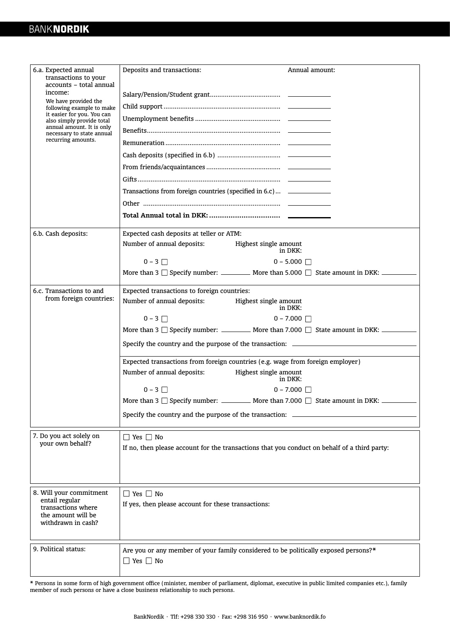| 6.a. Expected annual<br>transactions to your<br>accounts - total annual<br>income:<br>We have provided the<br>following example to make<br>it easier for you. You can<br>also simply provide total<br>annual amount. It is only<br>necessary to state annual<br>recurring amounts. | Deposits and transactions:<br>Annual amount:<br>Transactions from foreign countries (specified in 6.c) ______________ |  |  |  |
|------------------------------------------------------------------------------------------------------------------------------------------------------------------------------------------------------------------------------------------------------------------------------------|-----------------------------------------------------------------------------------------------------------------------|--|--|--|
| 6.b. Cash deposits:                                                                                                                                                                                                                                                                | Expected cash deposits at teller or ATM:                                                                              |  |  |  |
|                                                                                                                                                                                                                                                                                    | Number of annual deposits:<br>Highest single amount<br>in DKK:                                                        |  |  |  |
|                                                                                                                                                                                                                                                                                    | $0 - 3$<br>$0 - 5.000$                                                                                                |  |  |  |
|                                                                                                                                                                                                                                                                                    | More than 3 $\Box$ Specify number: _________ More than 5.000 $\Box$ State amount in DKK: _______                      |  |  |  |
| 6.c. Transactions to and                                                                                                                                                                                                                                                           | Expected transactions to foreign countries:                                                                           |  |  |  |
| from foreign countries:                                                                                                                                                                                                                                                            | Number of annual deposits:<br>Highest single amount<br>in DKK:                                                        |  |  |  |
|                                                                                                                                                                                                                                                                                    | $0 - 3$<br>$0 - 7.000$ $\Box$                                                                                         |  |  |  |
|                                                                                                                                                                                                                                                                                    | More than 3 $\Box$ Specify number: ___________ More than 7.000 $\Box$ State amount in DKK: ____________               |  |  |  |
|                                                                                                                                                                                                                                                                                    | Specify the country and the purpose of the transaction: _________________________                                     |  |  |  |
|                                                                                                                                                                                                                                                                                    | Expected transactions from foreign countries (e.g. wage from foreign employer)                                        |  |  |  |
|                                                                                                                                                                                                                                                                                    | Number of annual deposits:<br>Highest single amount<br>in DKK:                                                        |  |  |  |
|                                                                                                                                                                                                                                                                                    | $0 - 3$    <br>$0 - 7.000$ $\Box$                                                                                     |  |  |  |
|                                                                                                                                                                                                                                                                                    | More than 3 $\Box$ Specify number: ___________ More than 7.000 $\Box$ State amount in DKK:                            |  |  |  |
|                                                                                                                                                                                                                                                                                    | Specify the country and the purpose of the transaction: _____                                                         |  |  |  |
| 7. Do you act solely on<br>vour own behalf?                                                                                                                                                                                                                                        | $\Box$ Yes $\Box$ No                                                                                                  |  |  |  |
|                                                                                                                                                                                                                                                                                    | If no, then please account for the transactions that you conduct on behalf of a third party:                          |  |  |  |
|                                                                                                                                                                                                                                                                                    |                                                                                                                       |  |  |  |
|                                                                                                                                                                                                                                                                                    |                                                                                                                       |  |  |  |
| 8. Will your commitment<br>entail regular<br>transactions where<br>the amount will be<br>withdrawn in cash?                                                                                                                                                                        | $\Box$ Yes $\Box$ No                                                                                                  |  |  |  |
|                                                                                                                                                                                                                                                                                    | If yes, then please account for these transactions:                                                                   |  |  |  |
|                                                                                                                                                                                                                                                                                    |                                                                                                                       |  |  |  |
|                                                                                                                                                                                                                                                                                    |                                                                                                                       |  |  |  |
| 9. Political status:                                                                                                                                                                                                                                                               | Are you or any member of your family considered to be politically exposed persons?*                                   |  |  |  |
|                                                                                                                                                                                                                                                                                    | $\Box$ Yes $\Box$ No                                                                                                  |  |  |  |
|                                                                                                                                                                                                                                                                                    |                                                                                                                       |  |  |  |

\* Persons in some form of high government office (minister, member of parliament, diplomat, executive in public limited companies etc.), family member of such persons or have a close business relationship to such persons.